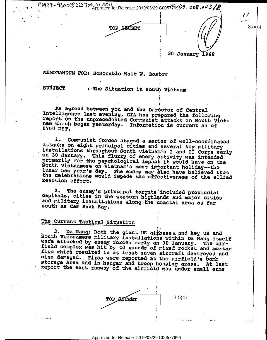$1.0009$  -  $9$  to  $0.008$  222  $700$  of  $1.0011$ <br>Approved for Release: 2019/03/29 C00577996 7. 008.003

TOP SECRET

§ 30 January 1968

Z

:

.

i

.

 $\begin{bmatrix} 1 & 1 \\ 1 & 1 \end{bmatrix}$   $\begin{bmatrix} 1 & 1 \\ 1 & 1 \end{bmatrix}$ 

.»—-

 $3.5(c)$ 

.MEMORANDUM FOR: Honorable Walt W. Rostow

O .

SUBJECT s-The Situation in South Vietnam

As agreed between you and the Director of Central<br>Intelligence last evening, CIA has prepared the following report on the unprecedented Communist attacks in South Viet-<br>nam which began yesterday. Information is current as of<br>0700 EST.

. The contract of the contract of the contract of the contract of the contract of the contract of the contract of the contract of the contract of the contract of the contract of the contract of the contract of the contrac

1. Communist forces staged a series of well-coordinated<br>attacks on eight principal cities and several key military<br>installations throughout South Vietnam's I and II Corps early<br>on 30 January. This flurry of enemy activity South Vietnamese on Vietnam's most important holiday--the<br>lunar new year's day. The enemy may also have believed that<br>the celebrations would impede the effectiveness of the allied<br>reaction effort.

2. The enemy's principal targets included provincial capitals, cities in the western highlands and major cities and military installations along the coastal area as tar south as Cam Ranh Bay. ' -

the contract of the contract of the contract of the contract of the contract of the contract of the contract of

## he Current Tactical Situation

3. Da Nang: Both the giant US airbages and key US and<br>South Vietnamese military installations within Da Nang itself<br>were attacked by enemy forces early on 30 January. The air-<br>field complex was hit by 40 rounds of mixed ro report the east runway of the airfield was under small arms

TOP  $SCRET$  3.5(c)

\_ Approved for Release: 2019/03/29 C00577996 '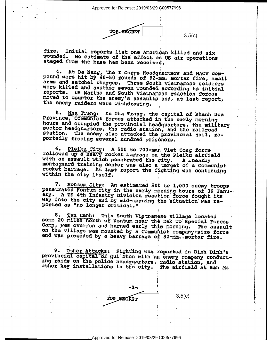Approved for Release: 2019/03/29 C00577996

'. **TOP SECRET** 

 $\bullet$  . The second construction of the second construction of the second construction of the second construction of the second construction of the second construction of the second construction of the second construction o

 $3.5(c)$ 

fire. Initial reports list one American killed and six wounded. No estimate of the effect on US air operations staged from the base has been received.

4. At Da Nang, the I Corps Headquarters and MACV com-<br>pound were hit by 40-50 rounds of 82-mm. mortar fire, small<br>arms and satchel charges. Three South Vietnamese soldiers were killed and another seven wounded according to initial reports. US Marine and South Vietnamese reaction forces moved to counter the enemy's assaults and, at last report, the enemy raiders were withdrawing.

i

5. Nha Trang: In Nha Trang, the capital of Khanh Hoa<br>Province, Communist forces attacked in the early morning<br>hours and occupied the provincial headquarters, the military<br>sector headquarters, the radio station, and the rai

6. Pleiku City: A 500 to 700-man Viet Cong force followed up a heavy rocket barrage on the Pleiku airfield<br>with an assault which penetrated the city. A linearby<br>montagnard training center was also a target of a Communist<br>rocket barrage. At last report the fighting was co

7. Kontum City: An estimated 500 to 1,000 enemy troops<br>penetrated Kontum City in the early morning hours of 30 Janu--<br>ary. A US 4th Infantry Division reaction force fought its<br>way into the city and by mid-morning the situa

8. Tan Canh: This South Vietnamese village located<br>some 20 miles north of Kontum near the Dak To Special Forces<br>Camp, was overrun and burned early this morning. The assault<br>on the village was mounted by a Communist company and was preceded by a heavy barrage of 82-mm. mortar fire.

9. Other Attacks: Fighting was reported in Binh Dinh's<br>provincial capital of Qui Nhon with an enemy company conduct-<br>ing raids on the police headquarters, radio station, and<br>other key installations in the city. The airfiel

\_ .

v .



Approved for Release: 2019/03/29 C00577996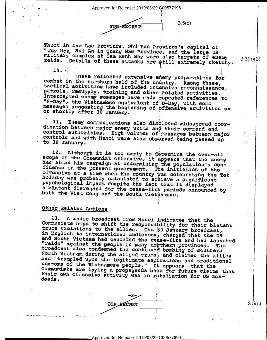**TOP SECRET** 

 $3.5(c)$ 

 $\mathbf{v} = \mathbf{v}$ 

é

Thuot in Dar Lac Province, Phu Yen Province's capital of "Tuy Hoa, Hoi An in Quang Nam Province, and the large US [1941]<br>military complex at Cam Ranh Bay were also targets of enemy [1941]<br>raids. Details of these attacks are still extremely sketchy. [1942]

nave reflected extensive enemy preparations for combat in the northern half of the country. Among these, tactical activities have included intensive reconnaissance, patrols, resupply, training and other related activities.<br>Intercepted enemy messages have made repeated references to "N-Day", the Vietnamese equivalent of D-Day, with some<br>messages suggesting the beginning of offensive activities on<br>or shortly after 30 January.

ll. Enemy communications also disclosed widespread coor- dination between major enemy units and their command and control authorities. High volumes of messages between major controls and with Hanoi were also observed being passed up to 30 January.

I

I

 $\ddot{\phantom{0}}$ 

12. Although it is too early to determine the over-all<br>scope of the Communist offensive, it appears that the enemy<br>has aimed his campaign at undermining the population's con-<br>fidence in the present government. The initiati - the Viet Cong and the South Vietnamese.

## Other Related Actions

 $10.$ 

- »....... ..\_. "

13. A radio broadcast from Hanoi indicates that the<br>Communists hope to shift the responsibility for their blatant<br>truce violations to the allies. The 30 January broadcast,<br>in English to international audiences, charged tha their own offensive activity was in retaliation for US mis-

..3.. 5' \*  $\text{YOP}$   $\text{BECRET}$  3.5(c) . j - Indiana kao amin'ny fivondronan-kao amin'ny fivondronan-kao amin'ny fivondronan-kao amin'ny fivondronan-ka  $\bullet$ 

J

Approved for Release: 2019/03/29 C00577996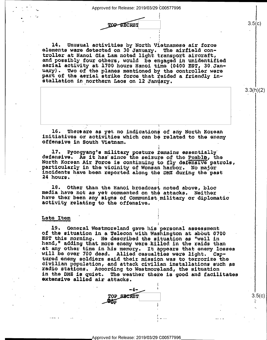TOP SECRET

14. Unusual activities by North Vietnamese air force<br>elements were detected on 30 January. The airfield con-<br>troller at Hanoi Gia Lam noted light transport aircraft,<br>and possibly four others, would be engaged in unidentifi part of the aerial strike force that raided a friendly in-<br>stallation in northern Laos on 12 January.

l6. Thereare as yet no indications of any North Korean<br>initiatives or activities which can be related to the enemy<br>offensive in South Vietnam.

17» Pyongyang's military posture temains essentially" defiensive. As it has since the seizure of the Puebla, the North Korean Air Force is continuing to fily defensive patrols, particularly in the vicinity of Wonsan harbor. No major 'incidents have been reported along the DMZ during the past hours. ' . You have a set of the set of the set of the set of the set of the set of the set of the set of the set of the

18. Other than the Hanoi broadcast noted above, bloc<br>media have not as yet commented on the attacks. Neither<br>have ther been any signs of Communist,military or diplomatic<br>activity relating to the offensive.

## Late Item

'

 $\blacksquare$ 

 $\bullet$ 

19. General Westmoreland gave his personal assessment<br>of the situation in a Telecon with Washington at about 0700<br>EST this morning. He described the situation as "well in<br>hand," adding that more enemy were killed in the ra will be over 700 dead. Allied casualties were light. Cap-<br>tured enemy soldiers said their mission was to terrorize the civilian population, and attack civilian installations such as<br>radio stations. According to Westmoreland, the situation<br>in the DMZ is quiet. The weather there is good and facilitates<br>extensive allied air attacks.

 $\bullet$ 

-



 $3.5(c)$ 

 $3.3(h)(2)$ 

 $3.5(c)$ 

<'

. In the case of the case of the case of the case of the case of the case of the case of the case of the case of the case of the case of the case of the case of the case of the case of the case of the case of the case of